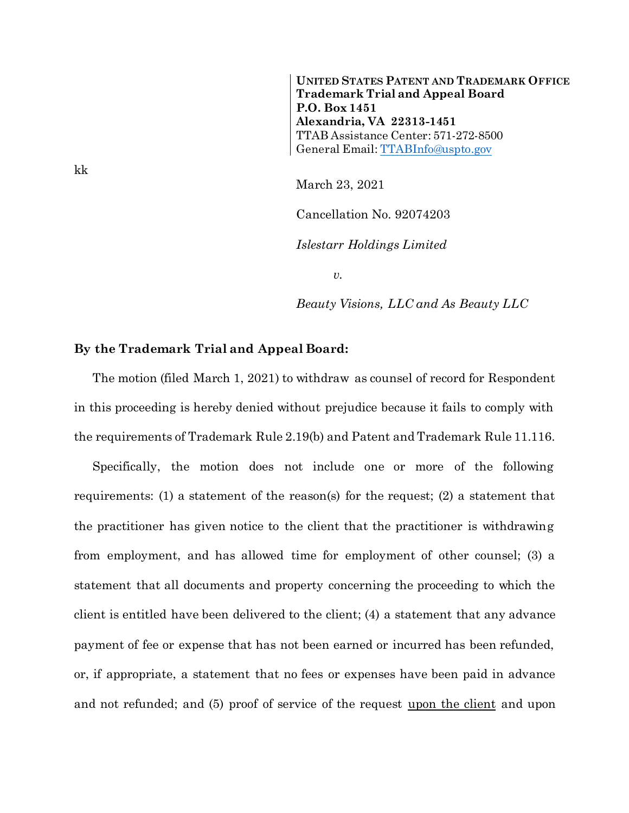**UNITED STATES PATENT AND TRADEMARK OFFICE Trademark Trial and Appeal Board P.O. Box 1451 Alexandria, VA 22313-1451** TTAB Assistance Center: 571-272-8500 General Email[: TTABInfo@uspto.gov](mailto:TTABInfo@uspto.gov)

March 23, 2021

Cancellation No. 92074203

*Islestarr Holdings Limited*

*v.*

*Beauty Visions, LLC and As Beauty LLC*

## **By the Trademark Trial and Appeal Board:**

The motion (filed March 1, 2021) to withdraw as counsel of record for Respondent in this proceeding is hereby denied without prejudice because it fails to comply with the requirements of Trademark Rule 2.19(b) and Patent and Trademark Rule 11.116.

Specifically, the motion does not include one or more of the following requirements: (1) a statement of the reason(s) for the request; (2) a statement that the practitioner has given notice to the client that the practitioner is withdrawing from employment, and has allowed time for employment of other counsel; (3) a statement that all documents and property concerning the proceeding to which the client is entitled have been delivered to the client; (4) a statement that any advance payment of fee or expense that has not been earned or incurred has been refunded, or, if appropriate, a statement that no fees or expenses have been paid in advance and not refunded; and (5) proof of service of the request upon the client and upon